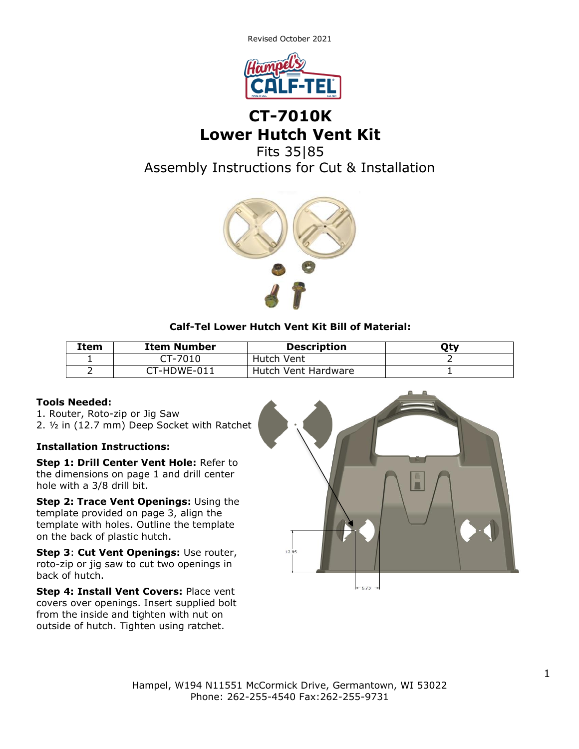Revised October 2021



# **CT-7010K Lower Hutch Vent Kit**

Fits 35|85

Assembly Instructions for Cut & Installation



### **Calf-Tel Lower Hutch Vent Kit Bill of Material:**

| Item | <b>Item Number</b> | <b>Description</b>  | Qty |
|------|--------------------|---------------------|-----|
|      | CT-7010            | Hutch Vent          |     |
|      | CT-HDWE-011        | Hutch Vent Hardware |     |

### **Tools Needed:**

1. Router, Roto-zip or Jig Saw 2. ½ in (12.7 mm) Deep Socket with Ratchet

### **Installation Instructions:**

**Step 1: Drill Center Vent Hole:** Refer to the dimensions on page 1 and drill center hole with a 3/8 drill bit.

**Step 2: Trace Vent Openings:** Using the template provided on page 3, align the template with holes. Outline the template on the back of plastic hutch.

**Step 3**: **Cut Vent Openings:** Use router, roto-zip or jig saw to cut two openings in back of hutch.

**Step 4: Install Vent Covers:** Place vent covers over openings. Insert supplied bolt from the inside and tighten with nut on outside of hutch. Tighten using ratchet.

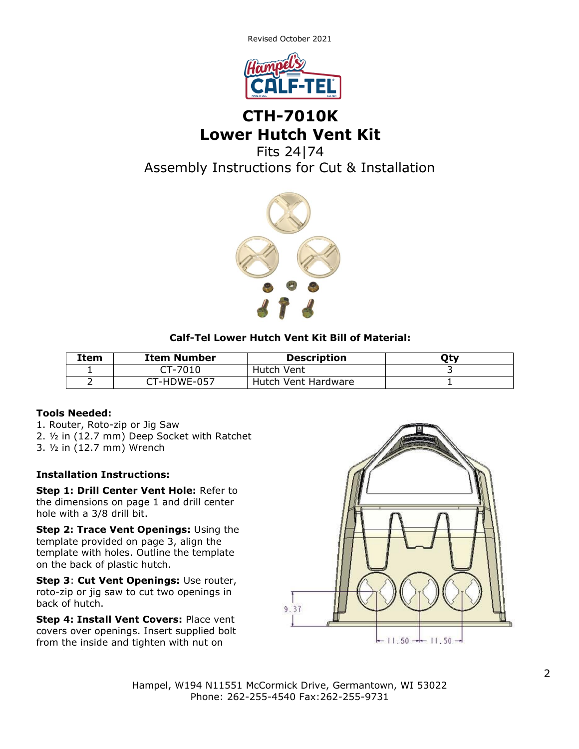Revised October 2021



## **CTH-7010K Lower Hutch Vent Kit**

Fits 24|74 Assembly Instructions for Cut & Installation



## **Calf-Tel Lower Hutch Vent Kit Bill of Material:**

| Item | <b>Item Number</b> | <b>Description</b>  | Qty |
|------|--------------------|---------------------|-----|
|      | CT-7010            | Hutch Vent          |     |
|      | CT-HDWE-057        | Hutch Vent Hardware |     |

### **Tools Needed:**

- 1. Router, Roto-zip or Jig Saw
- 2. ½ in (12.7 mm) Deep Socket with Ratchet
- 3. ½ in (12.7 mm) Wrench

### **Installation Instructions:**

**Step 1: Drill Center Vent Hole:** Refer to the dimensions on page 1 and drill center hole with a 3/8 drill bit.

**Step 2: Trace Vent Openings:** Using the template provided on page 3, align the template with holes. Outline the template on the back of plastic hutch.

**Step 3**: **Cut Vent Openings:** Use router, roto-zip or jig saw to cut two openings in back of hutch.

**Step 4: Install Vent Covers:** Place vent covers over openings. Insert supplied bolt from the inside and tighten with nut on



Hampel, W194 N11551 McCormick Drive, Germantown, WI 53022 Phone: 262-255-4540 Fax:262-255-9731